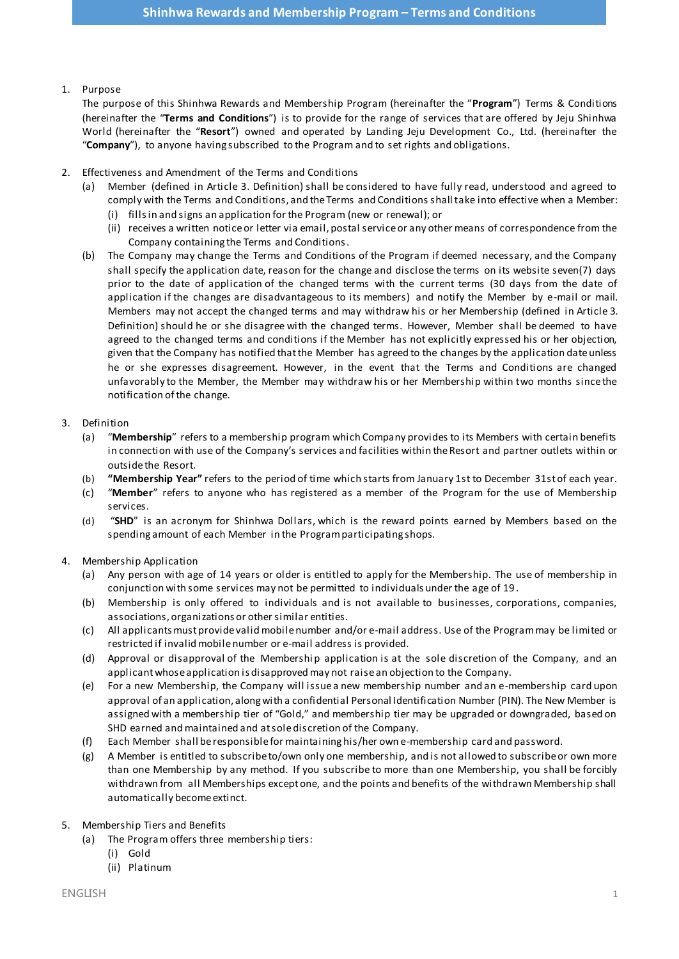# 1. Purpose

The purpose of this Shinhwa Rewards and Membership Program (hereinafter the "**Program**") Terms & Conditions (hereinafter the "**Terms and Conditions**") is to provide for the range of services that are offered by Jeju Shinhwa World (hereinafter the "**Resort**") owned and operated by Landing Jeju Development Co., Ltd. (hereinafter the "**Company**"), to anyone having subscribed to the Program and to set rights and obligations.

- 2. Effectiveness and Amendment of the Terms and Conditions
	- (a) Member (defined in Article 3. Definition) shall be considered to have fully read, understood and agreed to comply with the Terms and Conditions, and the Terms and Conditions shall take into effective when a Member: (i) fills in and signs an application for the Program (new or renewal); or
		- (ii) receives a written notice or letter via email, postal service or any other means of correspondence from the Company containing the Terms and Conditions.
	- (b) The Company may change the Terms and Conditions of the Program if deemed necessary, and the Company shall specify the application date, reason for the change and disclose the terms on its website seven(7) days prior to the date of application of the changed terms with the current terms (30 days from the date of application if the changes are disadvantageous to its members) and notify the Member by e-mail or mail. Members may not accept the changed terms and may withdraw his or her Membership (defined in Article 3. Definition) should he or she disagree with the changed terms. However, Member shall be deemed to have agreed to the changed terms and conditions if the Member has not explicitly expressed his or her objection, given that the Company has notified that the Member has agreed to the changes by the application date unless he or she expresses disagreement. However, in the event that the Terms and Conditions are changed unfavorably to the Member, the Member may withdraw his or her Membership within two months since the notification of the change.

# 3. Definition

- (a) "**Membership**" refers to a membership program which Company provides to its Members with certain benefits in connection with use of the Company's services and facilities within the Resort and partner outlets within or outside the Resort.
- (b) **"Membership Year"** refers to the period of time which starts from January 1st to December 31st of each year.
- (c) "**Member**" refers to anyone who has registered as a member of the Program for the use of Membership services.
- (d) "**SHD**" is an acronym for Shinhwa Dollars, which is the reward points earned by Members based on the spending amount of each Member in the Program participating shops.

# 4. Membership Application

- (a) Any person with age of 14 years or older is entitled to apply for the Membership. The use of membership in conjunction with some services may not be permitted to individuals under the age of 19 .
- (b) Membership is only offered to individuals and is not available to businesses, corporations, companies, associations, organizations or other similar entities.
- (c) All applicants must provide valid mobile number and/or e-mail address. Use of the Program may be limited or restricted if invalid mobile number or e-mail address is provided.
- (d) Approval or disapproval of the Membership application is at the sole discretion of the Company, and an applicant whose application is disapproved may not raise an objection to the Company.
- (e) For a new Membership, the Company will issue a new membership number and an e-membership card upon approval of an application, along with a confidential Personal Identification Number (PIN). The New Member is assigned with a membership tier of "Gold," and membership tier may be upgraded or downgraded, based on SHD earned and maintained and at sole discretion of the Company.
- (f) Each Member shall be responsible for maintaining his/her own e-membership card and password.
- (g) A Member is entitled to subscribe to/own only one membership, and is not allowed to subscribe or own more than one Membership by any method. If you subscribe to more than one Membership, you shall be forcibly withdrawn from all Memberships except one, and the points and benefits of the withdrawn Membership shall automatically become extinct.

### 5. Membership Tiers and Benefits

- (a) The Program offers three membership tiers:
	- (i) Gold
	- (ii) Platinum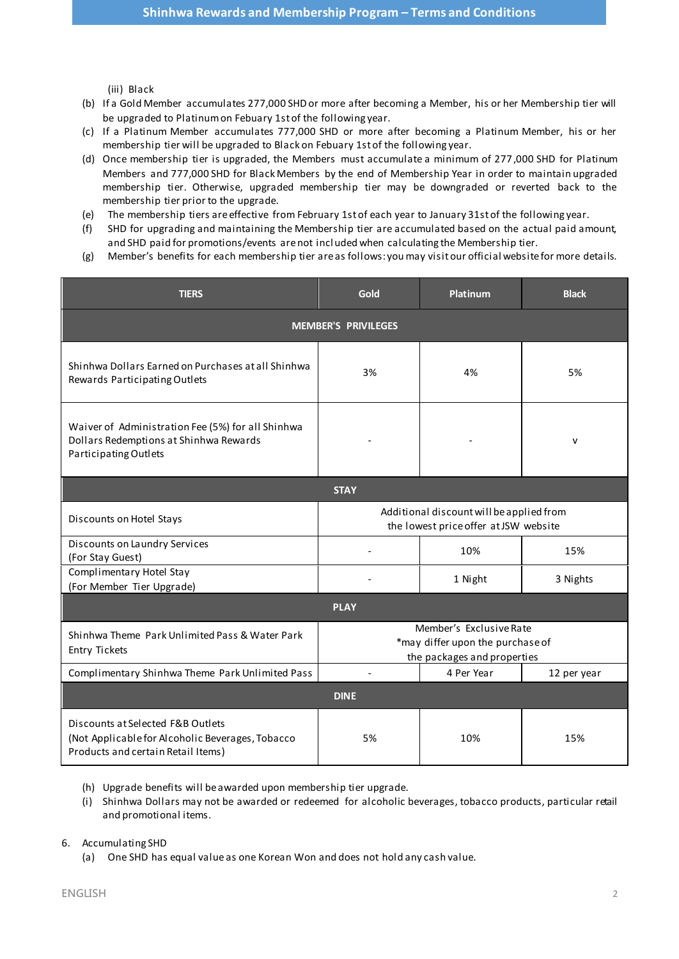(iii) Black

- (b) If a Gold Member accumulates 277,000 SHD or more after becoming a Member, his or her Membership tier will be upgraded to Platinum on Febuary 1st of the following year.
- (c) If a Platinum Member accumulates 777,000 SHD or more after becoming a Platinum Member, his or her membership tier will be upgraded to Black on Febuary 1st of the following year.
- (d) Once membership tier is upgraded, the Members must accumulate a minimum of 277,000 SHD for Platinum Members and 777,000 SHD for Black Members by the end of Membership Year in order to maintain upgraded membership tier. Otherwise, upgraded membership tier may be downgraded or reverted back to the membership tier prior to the upgrade.
- (e) The membership tiers are effective from February 1st of each year to January 31st of the following year.
- (f) SHD for upgrading and maintaining the Membership tier are accumulated based on the actual paid amount, and SHD paid for promotions/events are not incl uded when calculating the Membership tier.
- (g) Member's benefits for each membership tier are as follows: you may visit our official website for more details.

| <b>TIERS</b>                                                                                                                | Gold                                                                                       | Platinum   | <b>Black</b> |
|-----------------------------------------------------------------------------------------------------------------------------|--------------------------------------------------------------------------------------------|------------|--------------|
| <b>MEMBER'S PRIVILEGES</b>                                                                                                  |                                                                                            |            |              |
| Shinhwa Dollars Earned on Purchases at all Shinhwa<br>Rewards Participating Outlets                                         | 3%                                                                                         | 4%         | 5%           |
| Waiver of Administration Fee (5%) for all Shinhwa<br>Dollars Redemptions at Shinhwa Rewards<br>Participating Outlets        |                                                                                            |            | $\mathsf{v}$ |
| <b>STAY</b>                                                                                                                 |                                                                                            |            |              |
| Discounts on Hotel Stays                                                                                                    | Additional discount will be applied from<br>the lowest price offer at JSW website          |            |              |
| Discounts on Laundry Services<br>(For Stay Guest)                                                                           |                                                                                            | 10%        | 15%          |
| Complimentary Hotel Stay<br>(For Member Tier Upgrade)                                                                       |                                                                                            | 1 Night    | 3 Nights     |
| <b>PLAY</b>                                                                                                                 |                                                                                            |            |              |
| Shinhwa Theme Park Unlimited Pass & Water Park<br>Entry Tickets                                                             | Member's Exclusive Rate<br>*may differ upon the purchase of<br>the packages and properties |            |              |
| Complimentary Shinhwa Theme Park Unlimited Pass                                                                             | $\overline{\phantom{a}}$                                                                   | 4 Per Year | 12 per year  |
| <b>DINE</b>                                                                                                                 |                                                                                            |            |              |
| Discounts at Selected F&B Outlets<br>(Not Applicable for Alcoholic Beverages, Tobacco<br>Products and certain Retail Items) | 5%                                                                                         | 10%        | 15%          |

- (h) Upgrade benefits will be awarded upon membership tier upgrade.
- (i) Shinhwa Dollars may not be awarded or redeemed for alcoholic beverages, tobacco products, particular retail and promotional items.

#### 6. Accumulating SHD

(a) One SHD has equal value as one Korean Won and does not hold any cash value.